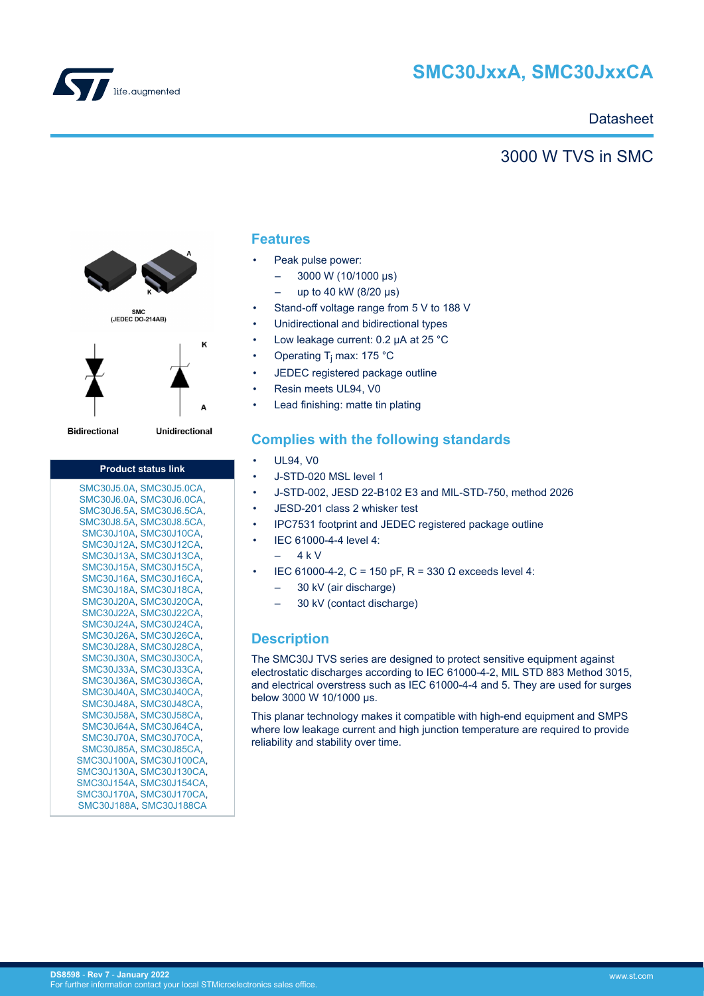

# **SMC30JxxA, SMC30JxxCA**

### **Datasheet**

### 3000 W TVS in SMC



**Bidirectional** 

Unidirectional

| <b>Product status link</b> |
|----------------------------|
| SMC30J5.0A, SMC30J5.0CA,   |
| SMC30J6.0A, SMC30J6.0CA,   |
| SMC30J6.5A, SMC30J6.5CA,   |
| SMC30J8.5A, SMC30J8.5CA,   |
| SMC30J10A, SMC30J10CA,     |
| SMC30J12A, SMC30J12CA,     |
| SMC30J13A, SMC30J13CA,     |
| SMC30J15A, SMC30J15CA,     |
| SMC30J16A, SMC30J16CA,     |
| SMC30J18A, SMC30J18CA,     |
| SMC30J20A, SMC30J20CA,     |
| SMC30J22A, SMC30J22CA,     |
| SMC30J24A, SMC30J24CA,     |
| SMC30J26A, SMC30J26CA,     |
| SMC30J28A, SMC30J28CA,     |
| SMC30J30A, SMC30J30CA,     |
| SMC30J33A, SMC30J33CA,     |
| SMC30J36A, SMC30J36CA,     |
| SMC30J40A, SMC30J40CA,     |
| SMC30J48A, SMC30J48CA,     |
| SMC30J58A, SMC30J58CA,     |
| SMC30J64A, SMC30J64CA,     |
| SMC30J70A, SMC30J70CA,     |
| SMC30J85A, SMC30J85CA,     |
| SMC30J100A, SMC30J100CA,   |
| SMC30J130A, SMC30J130CA,   |
| SMC30J154A, SMC30J154CA,   |
| SMC30J170A, SMC30J170CA,   |
| SMC30J188A, SMC30J188CA    |

### **Features**

- Peak pulse power:
	- $-$  3000 W (10/1000 μs)
	- up to 40 kW (8/20 μs)
- Stand-off voltage range from 5 V to 188 V
- Unidirectional and bidirectional types
- Low leakage current: 0.2 µA at 25 °C
- Operating T<sub>j</sub> max: 175 °C
- JEDEC registered package outline
- Resin meets UL94, V0
- Lead finishing: matte tin plating

### **Complies with the following standards**

- UL94, V0
- J-STD-020 MSL level 1
- J-STD-002, JESD 22-B102 E3 and MIL-STD-750, method 2026
- JESD-201 class 2 whisker test
- IPC7531 footprint and JEDEC registered package outline
- IEC 61000-4-4 level 4:
	- 4 k V
- IEC 61000-4-2, C = 150 pF, R = 330 Ω exceeds level 4:
	- 30 kV (air discharge)
	- 30 kV (contact discharge)

### **Description**

The SMC30J TVS series are designed to protect sensitive equipment against electrostatic discharges according to IEC 61000-4-2, MIL STD 883 Method 3015, and electrical overstress such as IEC 61000-4-4 and 5. They are used for surges below 3000 W 10/1000 μs.

This planar technology makes it compatible with high-end equipment and SMPS where low leakage current and high junction temperature are required to provide reliability and stability over time.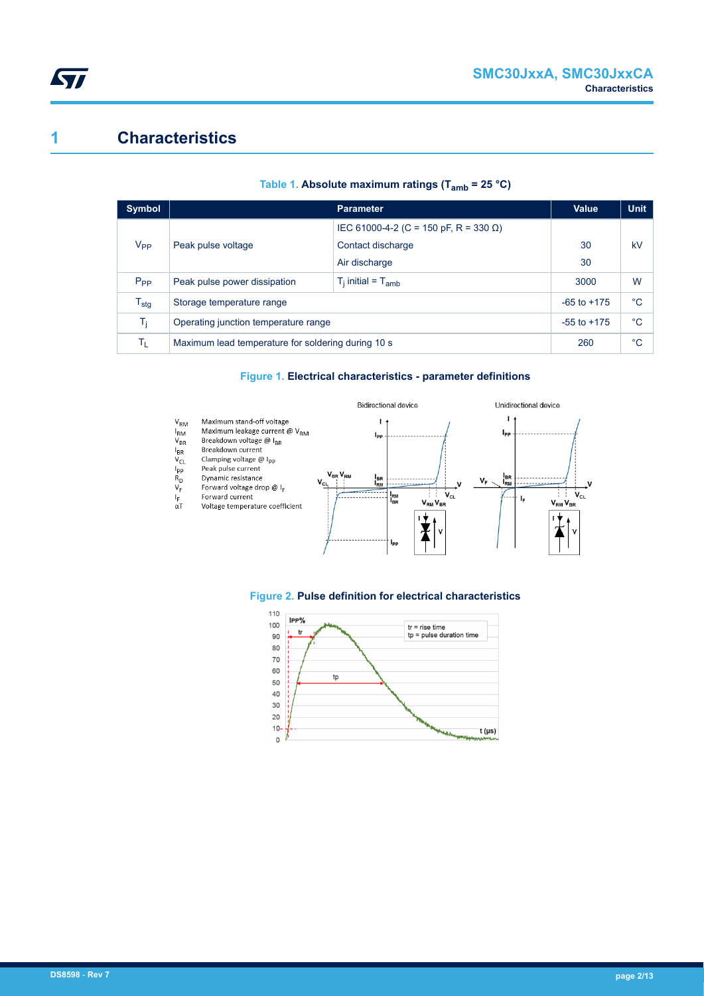## **1 Characteristics**

| <b>Symbol</b>    |                                                    | <b>Value</b>                          | <b>Unit</b> |    |
|------------------|----------------------------------------------------|---------------------------------------|-------------|----|
|                  |                                                    | IEC 61000-4-2 (C = 150 pF, R = 330 Ω) |             |    |
| V <sub>PP</sub>  | Peak pulse voltage                                 | Contact discharge                     | 30          | kV |
|                  |                                                    | Air discharge                         | 30          |    |
| $P_{PP}$         | Peak pulse power dissipation                       | $T_i$ initial = $T_{amb}$             | 3000        | W  |
| $T_{\text{stg}}$ | Storage temperature range                          | $-65$ to $+175$                       | °C          |    |
| T.               | Operating junction temperature range               | $-55$ to $+175$                       | °C          |    |
| Τī.              | Maximum lead temperature for soldering during 10 s | 260                                   | °C          |    |

#### **Table 1. Absolute maximum ratings (Tamb = 25 °C)**

#### **Figure 1. Electrical characteristics - parameter definitions**





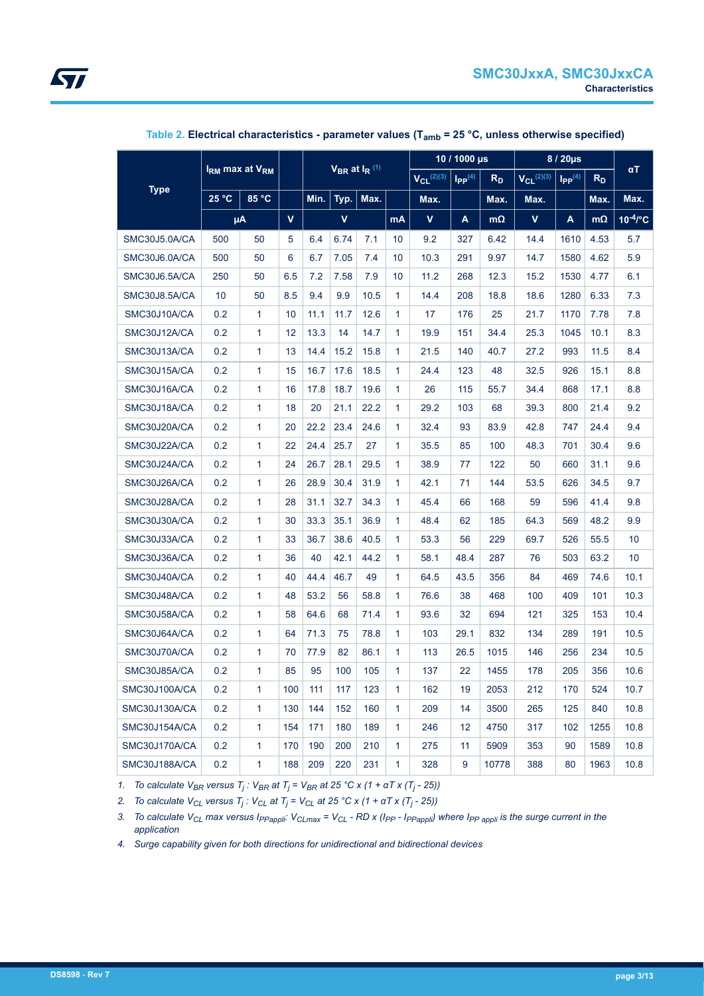<span id="page-2-0"></span>

|               | I <sub>RM</sub> max at V <sub>RM</sub><br>$V_{BR}$ at $I_R$ <sup>(1)</sup> |              |     |      |             | 10 / 1000 µs |                   | 8 / 20µs                         |                | $\alpha T$        |                      |       |           |               |
|---------------|----------------------------------------------------------------------------|--------------|-----|------|-------------|--------------|-------------------|----------------------------------|----------------|-------------------|----------------------|-------|-----------|---------------|
|               |                                                                            |              |     |      |             |              | $V_{CL}^{(2)(3)}$ | $\mathsf{I}_{\mathsf{PP}}^{(4)}$ | R <sub>D</sub> | $V_{Cl}^{(2)(3)}$ | $\mathsf{IPP}^{(4)}$ | $R_D$ |           |               |
| <b>Type</b>   | 25 °C                                                                      | 85 °C        |     | Min. | Typ.        | Max.         |                   | Max.                             |                | Max.              | Max.                 |       | Max.      | Max.          |
|               |                                                                            | μA           | V   |      | $\mathbf v$ |              | <b>mA</b>         | $\mathbf v$                      | A              | $m\Omega$         | V                    | A     | $m\Omega$ | $10^{-4}$ /°C |
| SMC30J5.0A/CA | 500                                                                        | 50           | 5   | 6.4  | 6.74        | 7.1          | 10                | 9.2                              | 327            | 6.42              | 14.4                 | 1610  | 4.53      | 5.7           |
| SMC30J6.0A/CA | 500                                                                        | 50           | 6   | 6.7  | 7.05        | 7.4          | 10                | 10.3                             | 291            | 9.97              | 14.7                 | 1580  | 4.62      | 5.9           |
| SMC30J6.5A/CA | 250                                                                        | 50           | 6.5 | 7.2  | 7.58        | 7.9          | 10                | 11.2                             | 268            | 12.3              | 15.2                 | 1530  | 4.77      | 6.1           |
| SMC30J8.5A/CA | 10                                                                         | 50           | 8.5 | 9.4  | 9.9         | 10.5         | $\mathbf{1}$      | 14.4                             | 208            | 18.8              | 18.6                 | 1280  | 6.33      | 7.3           |
| SMC30J10A/CA  | 0.2                                                                        | $\mathbf{1}$ | 10  | 11.1 | 11.7        | 12.6         | $\mathbf{1}$      | 17                               | 176            | 25                | 21.7                 | 1170  | 7.78      | 7.8           |
| SMC30J12A/CA  | 0.2                                                                        | $\mathbf{1}$ | 12  | 13.3 | 14          | 14.7         | $\mathbf{1}$      | 19.9                             | 151            | 34.4              | 25.3                 | 1045  | 10.1      | 8.3           |
| SMC30J13A/CA  | 0.2                                                                        | $\mathbf{1}$ | 13  | 14.4 | 15.2        | 15.8         | $\mathbf{1}$      | 21.5                             | 140            | 40.7              | 27.2                 | 993   | 11.5      | 8.4           |
| SMC30J15A/CA  | 0.2                                                                        | $\mathbf{1}$ | 15  | 16.7 | 17.6        | 18.5         | $\mathbf{1}$      | 24.4                             | 123            | 48                | 32.5                 | 926   | 15.1      | 8.8           |
| SMC30J16A/CA  | 0.2                                                                        | 1            | 16  | 17.8 | 18.7        | 19.6         | $\mathbf{1}$      | 26                               | 115            | 55.7              | 34.4                 | 868   | 17.1      | 8.8           |
| SMC30J18A/CA  | 0.2                                                                        | 1            | 18  | 20   | 21.1        | 22.2         | $\mathbf{1}$      | 29.2                             | 103            | 68                | 39.3                 | 800   | 21.4      | 9.2           |
| SMC30J20A/CA  | 0.2                                                                        | $\mathbf{1}$ | 20  | 22.2 | 23.4        | 24.6         | $\mathbf{1}$      | 32.4                             | 93             | 83.9              | 42.8                 | 747   | 24.4      | 9.4           |
| SMC30J22A/CA  | 0.2                                                                        | $\mathbf{1}$ | 22  | 24.4 | 25.7        | 27           | $\mathbf{1}$      | 35.5                             | 85             | 100               | 48.3                 | 701   | 30.4      | 9.6           |
| SMC30J24A/CA  | 0.2                                                                        | 1            | 24  | 26.7 | 28.1        | 29.5         | $\mathbf{1}$      | 38.9                             | 77             | 122               | 50                   | 660   | 31.1      | 9.6           |
| SMC30J26A/CA  | 0.2                                                                        | $\mathbf{1}$ | 26  | 28.9 | 30.4        | 31.9         | $\mathbf{1}$      | 42.1                             | 71             | 144               | 53.5                 | 626   | 34.5      | 9.7           |
| SMC30J28A/CA  | 0.2                                                                        | $\mathbf{1}$ | 28  | 31.1 | 32.7        | 34.3         | $\mathbf{1}$      | 45.4                             | 66             | 168               | 59                   | 596   | 41.4      | 9.8           |
| SMC30J30A/CA  | 0.2                                                                        | $\mathbf{1}$ | 30  | 33.3 | 35.1        | 36.9         | $\mathbf{1}$      | 48.4                             | 62             | 185               | 64.3                 | 569   | 48.2      | 9.9           |
| SMC30J33A/CA  | 0.2                                                                        | $\mathbf{1}$ | 33  | 36.7 | 38.6        | 40.5         | $\mathbf{1}$      | 53.3                             | 56             | 229               | 69.7                 | 526   | 55.5      | 10            |
| SMC30J36A/CA  | 0.2                                                                        | 1            | 36  | 40   | 42.1        | 44.2         | $\mathbf{1}$      | 58.1                             | 48.4           | 287               | 76                   | 503   | 63.2      | 10            |
| SMC30J40A/CA  | 0.2                                                                        | $\mathbf{1}$ | 40  | 44.4 | 46.7        | 49           | $\mathbf{1}$      | 64.5                             | 43.5           | 356               | 84                   | 469   | 74.6      | 10.1          |
| SMC30J48A/CA  | 0.2                                                                        | 1            | 48  | 53.2 | 56          | 58.8         | $\mathbf{1}$      | 76.6                             | 38             | 468               | 100                  | 409   | 101       | 10.3          |
| SMC30J58A/CA  | 0.2                                                                        | 1            | 58  | 64.6 | 68          | 71.4         | $\mathbf{1}$      | 93.6                             | 32             | 694               | 121                  | 325   | 153       | 10.4          |
| SMC30J64A/CA  | 0.2                                                                        | $\mathbf{1}$ | 64  | 71.3 | 75          | 78.8         | $\mathbf{1}$      | 103                              | 29.1           | 832               | 134                  | 289   | 191       | 10.5          |
| SMC30J70A/CA  | 0.2                                                                        | 1            | 70  | 77.9 | 82          | 86.1         | $\mathbf{1}$      | 113                              | 26.5           | 1015              | 146                  | 256   | 234       | 10.5          |
| SMC30J85A/CA  | 0.2                                                                        | 1            | 85  | 95   | 100         | 105          | $\mathbf{1}$      | 137                              | 22             | 1455              | 178                  | 205   | 356       | 10.6          |
| SMC30J100A/CA | 0.2                                                                        | 1            | 100 | 111  | 117         | 123          | 1                 | 162                              | 19             | 2053              | 212                  | 170   | 524       | 10.7          |
| SMC30J130A/CA | 0.2                                                                        | 1            | 130 | 144  | 152         | 160          | $\mathbf{1}$      | 209                              | 14             | 3500              | 265                  | 125   | 840       | 10.8          |
| SMC30J154A/CA | 0.2                                                                        | $\mathbf{1}$ | 154 | 171  | 180         | 189          | $\mathbf{1}$      | 246                              | 12             | 4750              | 317                  | 102   | 1255      | 10.8          |
| SMC30J170A/CA | 0.2                                                                        | $\mathbf{1}$ | 170 | 190  | 200         | 210          | $\mathbf{1}$      | 275                              | 11             | 5909              | 353                  | 90    | 1589      | 10.8          |
| SMC30J188A/CA | 0.2                                                                        | $\mathbf{1}$ | 188 | 209  | 220         | 231          | $\mathbf{1}$      | 328                              | 9              | 10778             | 388                  | 80    | 1963      | 10.8          |

**Table 2. Electrical characteristics - parameter values (Tamb = 25 °C, unless otherwise specified)**

*1. To calculate VBR versus T<sup>j</sup> : VBR at T<sup>j</sup> = VBR at 25 °C x (1 + αT x (T<sup>j</sup> - 25))*

*2. To calculate VCL versus T<sup>j</sup> : VCL at T<sup>j</sup> = VCL at 25 °C x (1 + αT x (T<sup>j</sup> - 25))*

3. To calculate  $V_{CL}$  max versus  $I_{PPappli}$ :  $V_{CLmax}$  =  $V_{CL}$  - RD x ( $I_{PP}$  -  $I_{PPappli}$ ) where  $I_{PP}$ <sub>appli</sub> is the surge current in the *application*

*4. Surge capability given for both directions for unidirectional and bidirectional devices*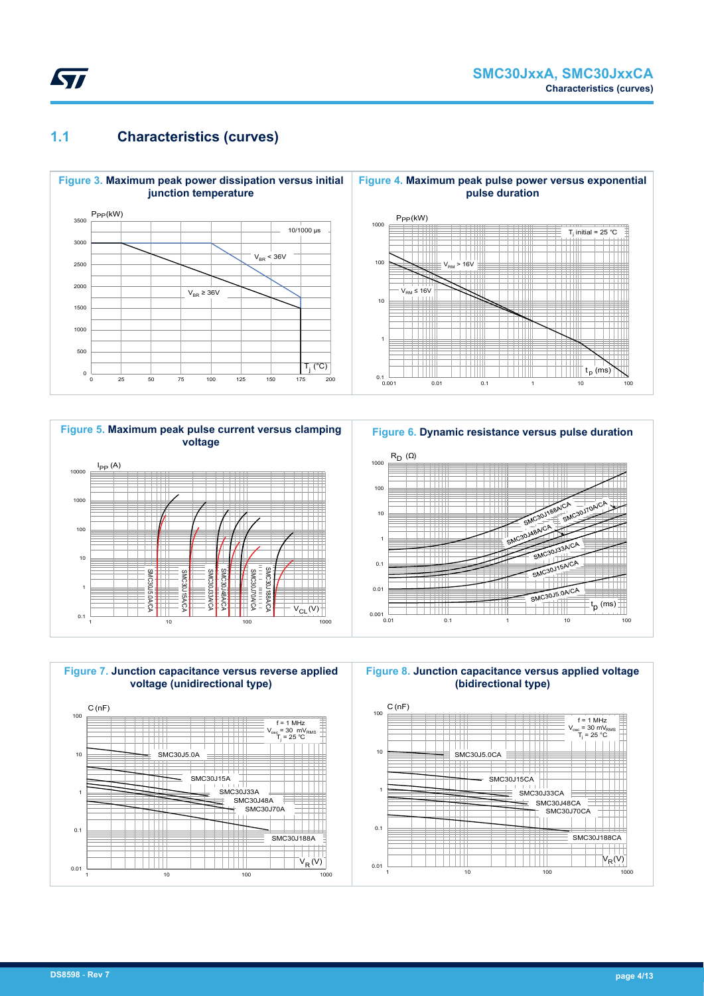

### **1.1 Characteristics (curves)**







**Figure 6. Dynamic resistance versus pulse duration**



**Figure 8. Junction capacitance versus applied voltage (bidirectional type)**

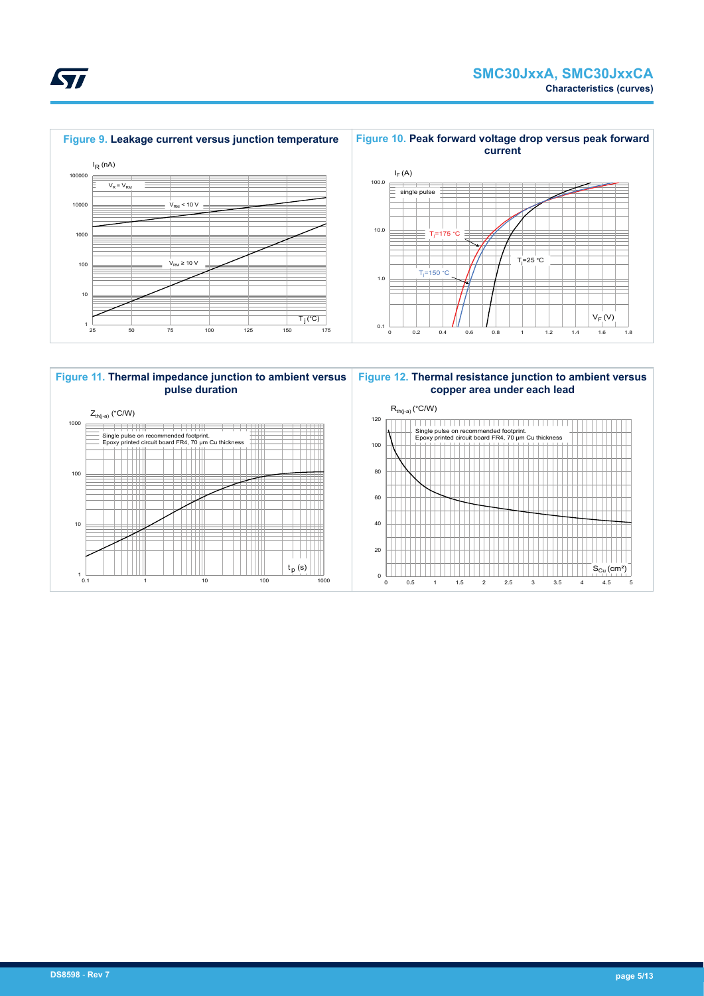





<span id="page-4-0"></span>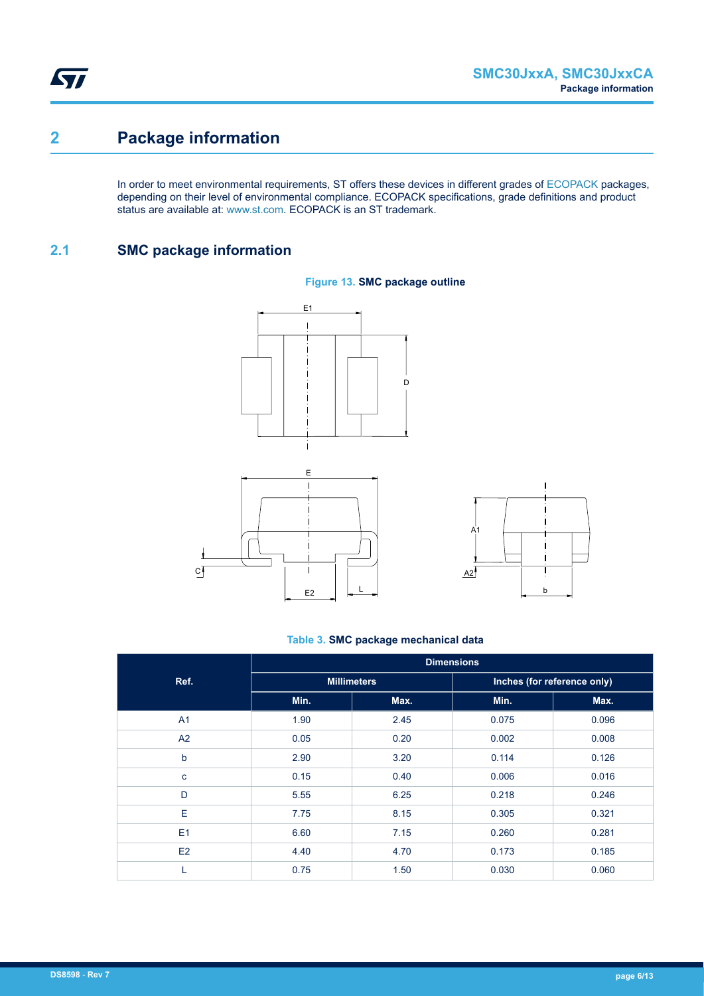ST

# **2 Package information**

In order to meet environmental requirements, ST offers these devices in different grades of [ECOPACK](https://www.st.com/ecopack) packages, depending on their level of environmental compliance. ECOPACK specifications, grade definitions and product status are available at: [www.st.com.](http://www.st.com) ECOPACK is an ST trademark.

### **2.1 SMC package information**

 $C$ <sup> $\overline{ }$ </sup>







#### **Table 3. SMC package mechanical data**

|                | <b>Dimensions</b> |                    |                             |       |  |  |  |  |
|----------------|-------------------|--------------------|-----------------------------|-------|--|--|--|--|
| Ref.           |                   | <b>Millimeters</b> | Inches (for reference only) |       |  |  |  |  |
|                | Min.              | Max.               | Min.                        | Max.  |  |  |  |  |
| A <sub>1</sub> | 1.90              | 2.45               | 0.075                       | 0.096 |  |  |  |  |
| A2             | 0.05              | 0.20               | 0.002                       | 0.008 |  |  |  |  |
| b              | 2.90              | 3.20               | 0.114                       | 0.126 |  |  |  |  |
| $\mathbf{C}$   | 0.15              | 0.40               | 0.006                       | 0.016 |  |  |  |  |
| D              | 5.55              | 6.25               | 0.218                       | 0.246 |  |  |  |  |
| E              | 7.75              | 8.15               | 0.305                       | 0.321 |  |  |  |  |
| E1             | 6.60              | 7.15               | 0.260                       | 0.281 |  |  |  |  |
| E2             | 4.40              | 4.70               | 0.173                       | 0.185 |  |  |  |  |
| L              | 0.75              | 1.50               | 0.030                       | 0.060 |  |  |  |  |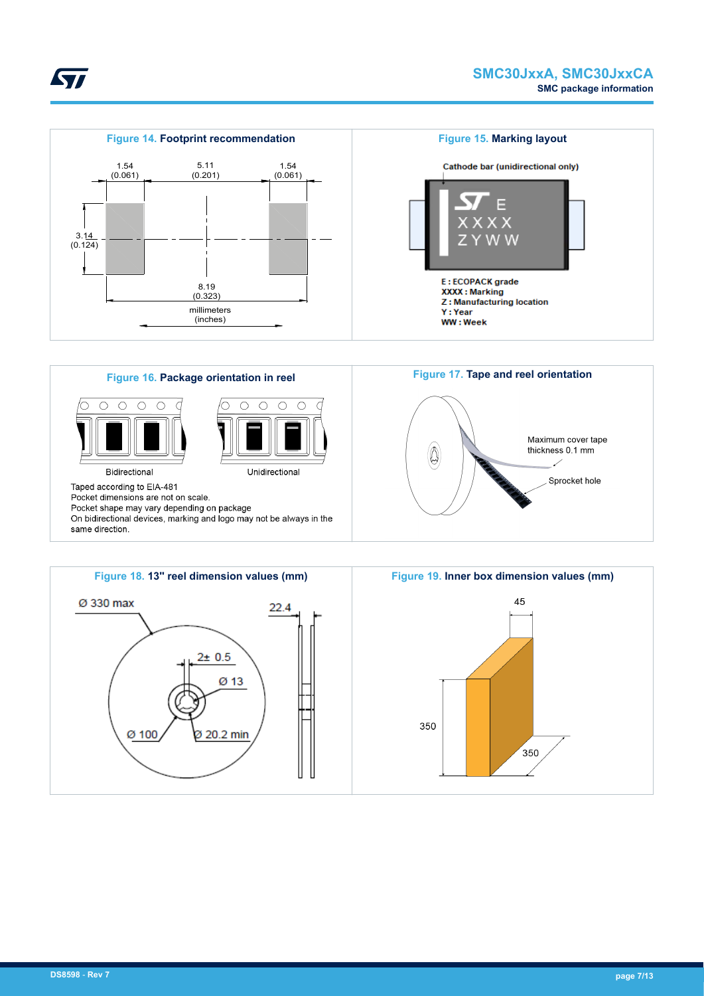





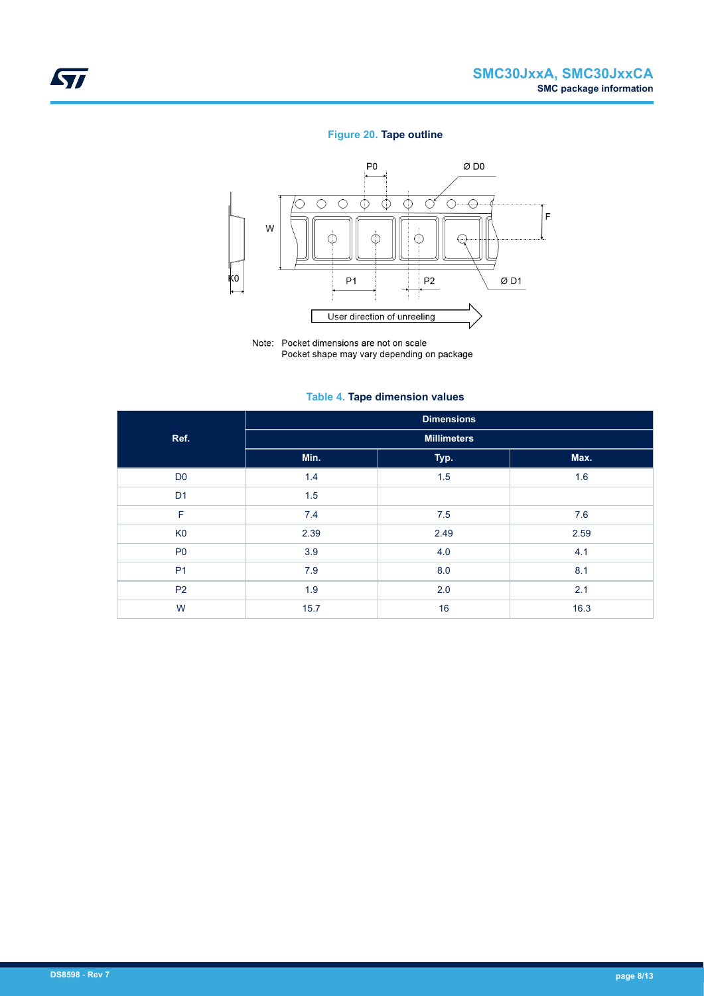#### **Figure 20. Tape outline**



Note: Pocket dimensions are not on scale Pocket shape may vary depending on package

#### **Table 4. Tape dimension values**

|                | <b>Dimensions</b> |                    |      |  |  |  |  |  |
|----------------|-------------------|--------------------|------|--|--|--|--|--|
| Ref.           |                   | <b>Millimeters</b> |      |  |  |  |  |  |
|                | Min.              | Typ.               | Max. |  |  |  |  |  |
| D <sub>0</sub> | 1.4               | 1.5                | 1.6  |  |  |  |  |  |
| D <sub>1</sub> | 1.5               |                    |      |  |  |  |  |  |
| F              | 7.4               | 7.5                | 7.6  |  |  |  |  |  |
| K <sub>0</sub> | 2.39              | 2.49               | 2.59 |  |  |  |  |  |
| P <sub>0</sub> | 3.9               | 4.0                | 4.1  |  |  |  |  |  |
| P <sub>1</sub> | 7.9               | 8.0                | 8.1  |  |  |  |  |  |
| <b>P2</b>      | 1.9               | 2.0                | 2.1  |  |  |  |  |  |
| W              | 15.7              | 16                 | 16.3 |  |  |  |  |  |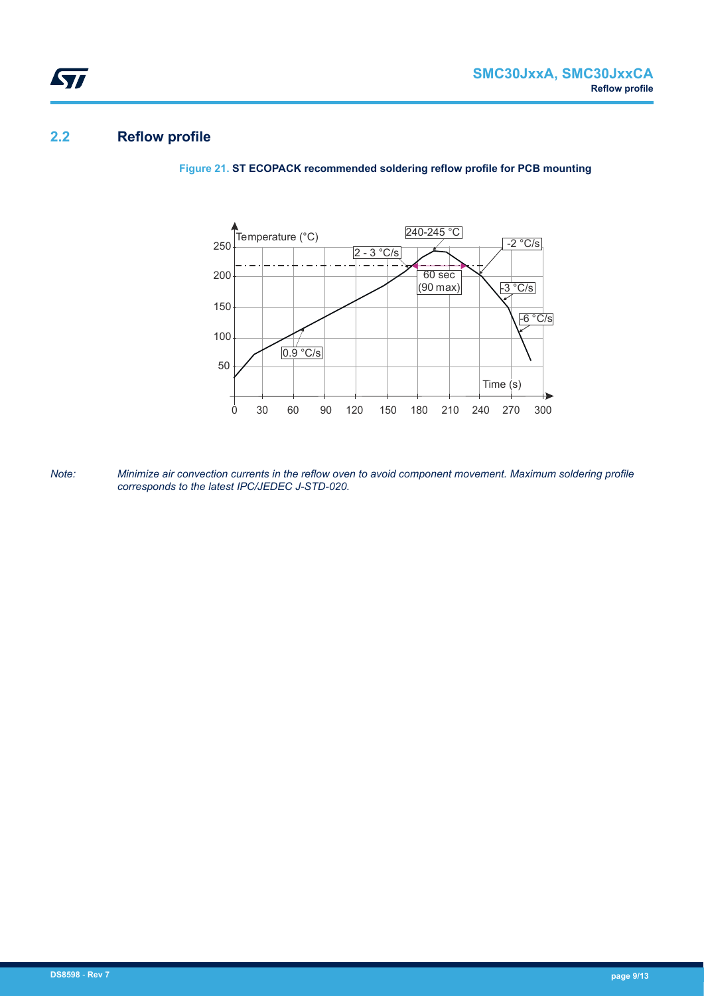### **2.2 Reflow profile**

ST

**Figure 21. ST ECOPACK recommended soldering reflow profile for PCB mounting**



*Note: Minimize air convection currents in the reflow oven to avoid component movement. Maximum soldering profile corresponds to the latest IPC/JEDEC J-STD-020.*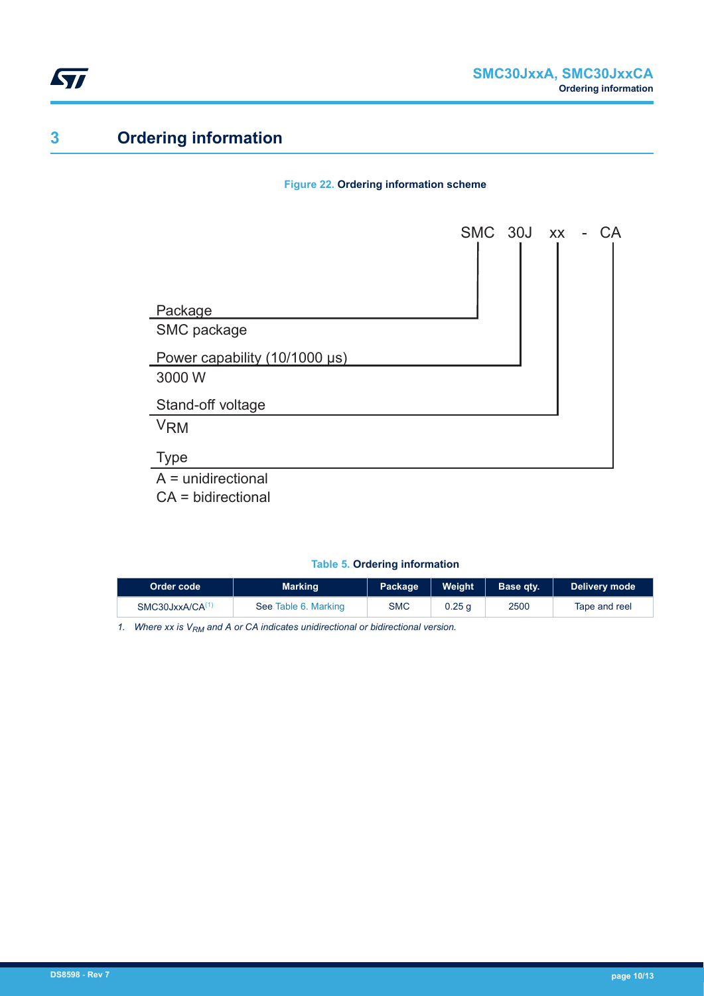

# **3 Ordering information**

#### **Figure 22. Ordering information scheme**



CA = bidirectional

#### **Table 5. Ordering information**

| Order code                  | <b>Marking</b>       | Package    | Weight            | Base atv. | Delivery mode |
|-----------------------------|----------------------|------------|-------------------|-----------|---------------|
| SMC30JxxA/CA <sup>(1)</sup> | See Table 6. Marking | <b>SMC</b> | 0.25 <sub>q</sub> | 2500      | Tape and reel |

*1. Where xx is VRM and A or CA indicates unidirectional or bidirectional version.*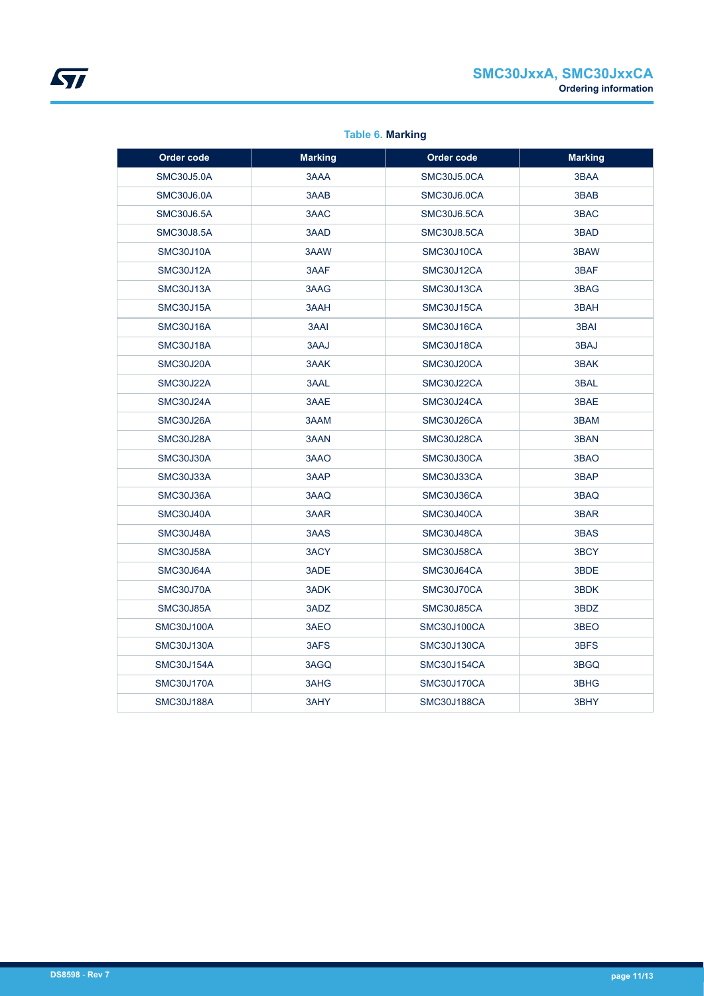<span id="page-10-0"></span>

| Order code        | <b>Marking</b> | Order code         | <b>Marking</b> |
|-------------------|----------------|--------------------|----------------|
| <b>SMC30J5.0A</b> | 3AAA           | <b>SMC30J5.0CA</b> | 3BAA           |
| <b>SMC30J6.0A</b> | 3AAB           | SMC30J6.0CA        | 3BAB           |
| <b>SMC30J6.5A</b> | 3AAC           | SMC30J6.5CA        | 3BAC           |
| <b>SMC30J8.5A</b> | 3AAD           | <b>SMC30J8.5CA</b> | 3BAD           |
| SMC30J10A         | 3AAW           | SMC30J10CA         | 3BAW           |
| SMC30J12A         | 3AAF           | SMC30J12CA         | 3BAF           |
| SMC30J13A         | 3AAG           | SMC30J13CA         | 3BAG           |
| SMC30J15A         | 3AAH           | SMC30J15CA         | 3BAH           |
| SMC30J16A         | 3AAI           | SMC30J16CA         | 3BAI           |
| SMC30J18A         | 3AAJ           | SMC30J18CA         | 3BAJ           |
| SMC30J20A         | 3AAK           | SMC30J20CA         | 3BAK           |
| SMC30J22A         | 3AAL           | SMC30J22CA         | 3BAL           |
| SMC30J24A         | 3AAE           | SMC30J24CA         | 3BAE           |
| SMC30J26A         | 3AAM           | SMC30J26CA         | 3BAM           |
| SMC30J28A         | 3AAN           | SMC30J28CA         | 3BAN           |
| <b>SMC30J30A</b>  | 3AAO           | SMC30J30CA         | 3BAO           |
| SMC30J33A         | 3AAP           | SMC30J33CA         | 3BAP           |
| SMC30J36A         | 3AAQ           | SMC30J36CA         | 3BAQ           |
| SMC30J40A         | 3AAR           | SMC30J40CA         | 3BAR           |
| SMC30J48A         | 3AAS           | SMC30J48CA         | 3BAS           |
| <b>SMC30J58A</b>  | 3ACY           | SMC30J58CA         | 3BCY           |
| SMC30J64A         | 3ADE           | SMC30J64CA         | 3BDE           |
| SMC30J70A         | 3ADK           | SMC30J70CA         | 3BDK           |
| SMC30J85A         | 3ADZ           | SMC30J85CA         | 3BDZ           |
| <b>SMC30J100A</b> | 3AEO           | <b>SMC30J100CA</b> | 3BEO           |
| SMC30J130A        | 3AFS           | SMC30J130CA        | 3BFS           |
| <b>SMC30J154A</b> | 3AGQ           | <b>SMC30J154CA</b> | 3BGQ           |
| <b>SMC30J170A</b> | 3AHG           | <b>SMC30J170CA</b> | 3BHG           |
| <b>SMC30J188A</b> | 3AHY           | <b>SMC30J188CA</b> | 3BHY           |

#### **Table 6. Marking**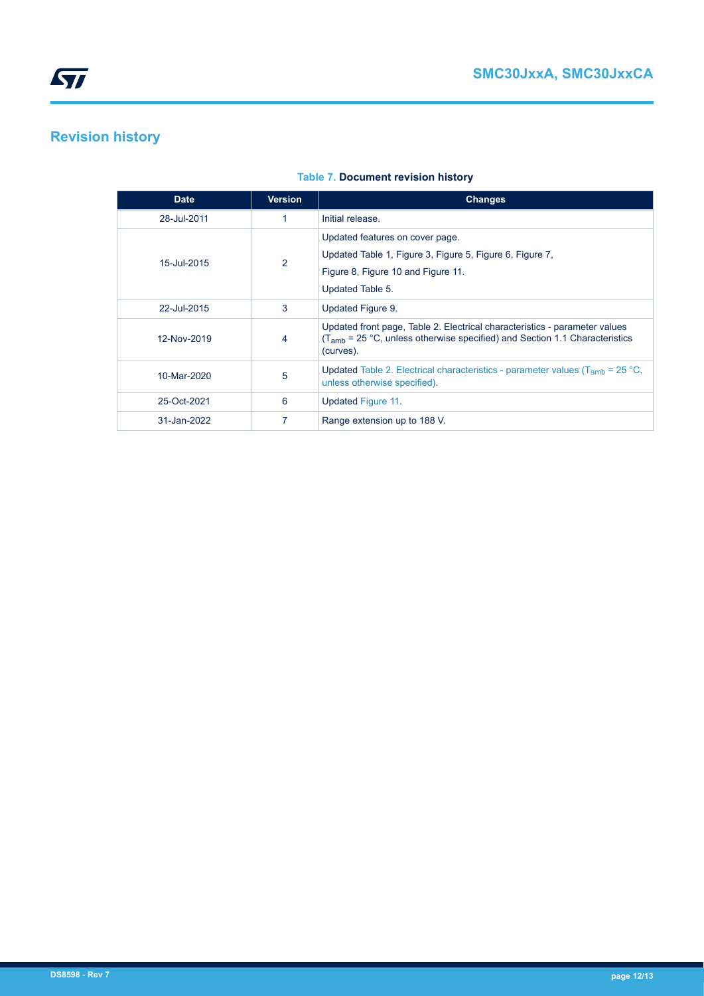

# **Revision history**

| <b>Date</b> | <b>Version</b> | <b>Changes</b>                                                                                                                                                                    |
|-------------|----------------|-----------------------------------------------------------------------------------------------------------------------------------------------------------------------------------|
| 28-Jul-2011 |                | Initial release.                                                                                                                                                                  |
| 15-Jul-2015 | 2              | Updated features on cover page.<br>Updated Table 1, Figure 3, Figure 5, Figure 6, Figure 7,<br>Figure 8, Figure 10 and Figure 11.<br>Updated Table 5.                             |
| 22-Jul-2015 | 3              | Updated Figure 9.                                                                                                                                                                 |
| 12-Nov-2019 | 4              | Updated front page, Table 2. Electrical characteristics - parameter values<br>(T <sub>amb</sub> = 25 °C, unless otherwise specified) and Section 1.1 Characteristics<br>(curves). |
| 10-Mar-2020 | 5              | Updated Table 2. Electrical characteristics - parameter values ( $T_{amb}$ = 25 °C,<br>unless otherwise specified).                                                               |
| 25-Oct-2021 | 6              | Updated Figure 11.                                                                                                                                                                |
| 31-Jan-2022 |                | Range extension up to 188 V.                                                                                                                                                      |

#### **Table 7. Document revision history**